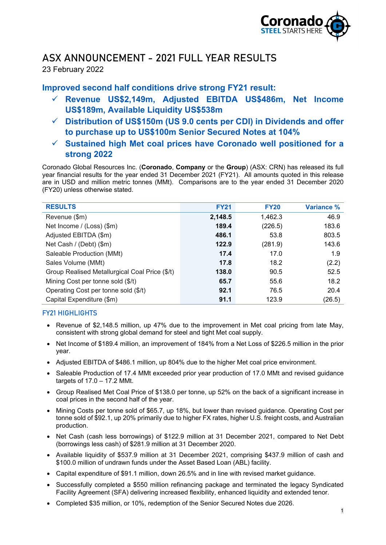

# ASX ANNOUNCEMENT - 2021 FULL YEAR RESULTS

23 February 2022

# **Improved second half conditions drive strong FY21 result:**

- **Revenue US\$2,149m, Adjusted EBITDA US\$486m, Net Income US\$189m, Available Liquidity US\$538m**
- **Distribution of US\$150m (US 9.0 cents per CDI) in Dividends and offer to purchase up to US\$100m Senior Secured Notes at 104%**
- **Sustained high Met coal prices have Coronado well positioned for a strong 2022**

Coronado Global Resources Inc. (**Coronado**, **Company** or the **Group**) (ASX: CRN) has released its full year financial results for the year ended 31 December 2021 (FY21). All amounts quoted in this release are in USD and million metric tonnes (MMt). Comparisons are to the year ended 31 December 2020 (FY20) unless otherwise stated.

| <b>RESULTS</b>                                 | <b>FY21</b> | <b>FY20</b> | <b>Variance %</b> |
|------------------------------------------------|-------------|-------------|-------------------|
| Revenue (\$m)                                  | 2,148.5     | 1,462.3     | 46.9              |
| Net Income / (Loss) (\$m)                      | 189.4       | (226.5)     | 183.6             |
| Adjusted EBITDA (\$m)                          | 486.1       | 53.8        | 803.5             |
| Net Cash / (Debt) (\$m)                        | 122.9       | (281.9)     | 143.6             |
| Saleable Production (MMt)                      | 17.4        | 17.0        | 1.9               |
| Sales Volume (MMt)                             | 17.8        | 18.2        | (2.2)             |
| Group Realised Metallurgical Coal Price (\$/t) | 138.0       | 90.5        | 52.5              |
| Mining Cost per tonne sold (\$/t)              | 65.7        | 55.6        | 18.2              |
| Operating Cost per tonne sold (\$/t)           | 92.1        | 76.5        | 20.4              |
| Capital Expenditure (\$m)                      | 91.1        | 123.9       | (26.5)            |

# FY21 HIGHLIGHTS

- Revenue of \$2,148.5 million, up 47% due to the improvement in Met coal pricing from late May, consistent with strong global demand for steel and tight Met coal supply.
- Net Income of \$189.4 million, an improvement of 184% from a Net Loss of \$226.5 million in the prior year.
- Adjusted EBITDA of \$486.1 million, up 804% due to the higher Met coal price environment.
- Saleable Production of 17.4 MMt exceeded prior year production of 17.0 MMt and revised guidance targets of 17.0 – 17.2 MMt.
- Group Realised Met Coal Price of \$138.0 per tonne, up 52% on the back of a significant increase in coal prices in the second half of the year.
- Mining Costs per tonne sold of \$65.7, up 18%, but lower than revised guidance. Operating Cost per tonne sold of \$92.1, up 20% primarily due to higher FX rates, higher U.S. freight costs, and Australian production.
- Net Cash (cash less borrowings) of \$122.9 million at 31 December 2021, compared to Net Debt (borrowings less cash) of \$281.9 million at 31 December 2020.
- Available liquidity of \$537.9 million at 31 December 2021, comprising \$437.9 million of cash and \$100.0 million of undrawn funds under the Asset Based Loan (ABL) facility.
- Capital expenditure of \$91.1 million, down 26.5% and in line with revised market guidance.
- Successfully completed a \$550 million refinancing package and terminated the legacy Syndicated Facility Agreement (SFA) delivering increased flexibility, enhanced liquidity and extended tenor.
- Completed \$35 million, or 10%, redemption of the Senior Secured Notes due 2026.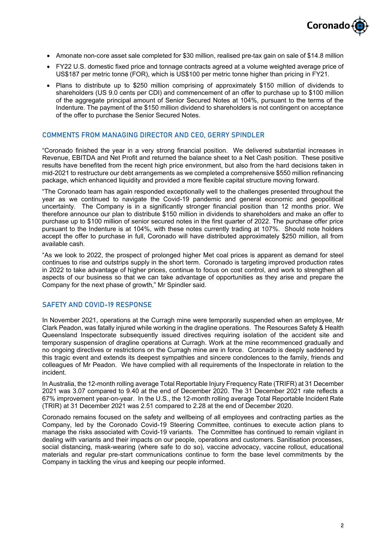

- Amonate non-core asset sale completed for \$30 million, realised pre-tax gain on sale of \$14.8 million
- FY22 U.S. domestic fixed price and tonnage contracts agreed at a volume weighted average price of US\$187 per metric tonne (FOR), which is US\$100 per metric tonne higher than pricing in FY21.
- Plans to distribute up to \$250 million comprising of approximately \$150 million of dividends to shareholders (US 9.0 cents per CDI) and commencement of an offer to purchase up to \$100 million of the aggregate principal amount of Senior Secured Notes at 104%, pursuant to the terms of the Indenture. The payment of the \$150 million dividend to shareholders is not contingent on acceptance of the offer to purchase the Senior Secured Notes.

#### COMMENTS FROM MANAGING DIRECTOR AND CEO, GERRY SPINDLER

"Coronado finished the year in a very strong financial position. We delivered substantial increases in Revenue, EBITDA and Net Profit and returned the balance sheet to a Net Cash position. These positive results have benefited from the recent high price environment, but also from the hard decisions taken in mid-2021 to restructure our debt arrangements as we completed a comprehensive \$550 million refinancing package, which enhanced liquidity and provided a more flexible capital structure moving forward.

"The Coronado team has again responded exceptionally well to the challenges presented throughout the year as we continued to navigate the Covid-19 pandemic and general economic and geopolitical uncertainty. The Company is in a significantly stronger financial position than 12 months prior. We therefore announce our plan to distribute \$150 million in dividends to shareholders and make an offer to purchase up to \$100 million of senior secured notes in the first quarter of 2022. The purchase offer price pursuant to the Indenture is at 104%, with these notes currently trading at 107%. Should note holders accept the offer to purchase in full, Coronado will have distributed approximately \$250 million, all from available cash.

"As we look to 2022, the prospect of prolonged higher Met coal prices is apparent as demand for steel continues to rise and outstrips supply in the short term. Coronado is targeting improved production rates in 2022 to take advantage of higher prices, continue to focus on cost control, and work to strengthen all aspects of our business so that we can take advantage of opportunities as they arise and prepare the Company for the next phase of growth," Mr Spindler said.

#### SAFETY AND COVID-19 RESPONSE

In November 2021, operations at the Curragh mine were temporarily suspended when an employee, Mr Clark Peadon, was fatally injured while working in the dragline operations. The Resources Safety & Health Queensland Inspectorate subsequently issued directives requiring isolation of the accident site and temporary suspension of dragline operations at Curragh. Work at the mine recommenced gradually and no ongoing directives or restrictions on the Curragh mine are in force. Coronado is deeply saddened by this tragic event and extends its deepest sympathies and sincere condolences to the family, friends and colleagues of Mr Peadon. We have complied with all requirements of the Inspectorate in relation to the incident.

In Australia, the 12-month rolling average Total Reportable Injury Frequency Rate (TRIFR) at 31 December 2021 was 3.07 compared to 9.40 at the end of December 2020. The 31 December 2021 rate reflects a 67% improvement year-on-year. In the U.S., the 12-month rolling average Total Reportable Incident Rate (TRIR) at 31 December 2021 was 2.51 compared to 2.28 at the end of December 2020.

Coronado remains focused on the safety and wellbeing of all employees and contracting parties as the Company, led by the Coronado Covid-19 Steering Committee, continues to execute action plans to manage the risks associated with Covid-19 variants. The Committee has continued to remain vigilant in dealing with variants and their impacts on our people, operations and customers. Sanitisation processes, social distancing, mask-wearing (where safe to do so), vaccine advocacy, vaccine rollout, educational materials and regular pre-start communications continue to form the base level commitments by the Company in tackling the virus and keeping our people informed.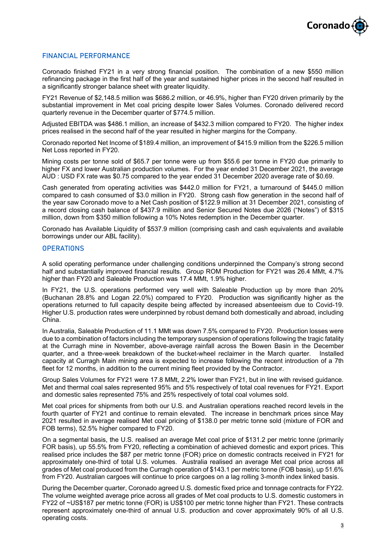

## FINANCIAL PERFORMANCE

Coronado finished FY21 in a very strong financial position. The combination of a new \$550 million refinancing package in the first half of the year and sustained higher prices in the second half resulted in a significantly stronger balance sheet with greater liquidity.

FY21 Revenue of \$2,148.5 million was \$686.2 million, or 46.9%, higher than FY20 driven primarily by the substantial improvement in Met coal pricing despite lower Sales Volumes. Coronado delivered record quarterly revenue in the December quarter of \$774.5 million.

Adjusted EBITDA was \$486.1 million, an increase of \$432.3 million compared to FY20. The higher index prices realised in the second half of the year resulted in higher margins for the Company.

Coronado reported Net Income of \$189.4 million, an improvement of \$415.9 million from the \$226.5 million Net Loss reported in FY20.

Mining costs per tonne sold of \$65.7 per tonne were up from \$55.6 per tonne in FY20 due primarily to higher FX and lower Australian production volumes. For the year ended 31 December 2021, the average AUD : USD FX rate was \$0.75 compared to the year ended 31 December 2020 average rate of \$0.69.

Cash generated from operating activities was \$442.0 million for FY21, a turnaround of \$445.0 million compared to cash consumed of \$3.0 million in FY20. Strong cash flow generation in the second half of the year saw Coronado move to a Net Cash position of \$122.9 million at 31 December 2021, consisting of a record closing cash balance of \$437.9 million and Senior Secured Notes due 2026 ("Notes") of \$315 million, down from \$350 million following a 10% Notes redemption in the December quarter.

Coronado has Available Liquidity of \$537.9 million (comprising cash and cash equivalents and available borrowings under our ABL facility).

#### **OPERATIONS**

A solid operating performance under challenging conditions underpinned the Company's strong second half and substantially improved financial results. Group ROM Production for FY21 was 26.4 MMt, 4.7% higher than FY20 and Saleable Production was 17.4 MMt, 1.9% higher.

In FY21, the U.S. operations performed very well with Saleable Production up by more than 20% (Buchanan 28.8% and Logan 22.0%) compared to FY20. Production was significantly higher as the operations returned to full capacity despite being affected by increased absenteeism due to Covid-19. Higher U.S. production rates were underpinned by robust demand both domestically and abroad, including China.

In Australia, Saleable Production of 11.1 MMt was down 7.5% compared to FY20. Production losses were due to a combination of factors including the temporary suspension of operations following the tragic fatality at the Curragh mine in November, above-average rainfall across the Bowen Basin in the December quarter, and a three-week breakdown of the bucket-wheel reclaimer in the March quarter. Installed capacity at Curragh Main mining area is expected to increase following the recent introduction of a 7th fleet for 12 months, in addition to the current mining fleet provided by the Contractor.

Group Sales Volumes for FY21 were 17.8 MMt, 2.2% lower than FY21, but in line with revised guidance. Met and thermal coal sales represented 95% and 5% respectively of total coal revenues for FY21. Export and domestic sales represented 75% and 25% respectively of total coal volumes sold.

Met coal prices for shipments from both our U.S. and Australian operations reached record levels in the fourth quarter of FY21 and continue to remain elevated. The increase in benchmark prices since May 2021 resulted in average realised Met coal pricing of \$138.0 per metric tonne sold (mixture of FOR and FOB terms), 52.5% higher compared to FY20.

On a segmental basis, the U.S. realised an average Met coal price of \$131.2 per metric tonne (primarily FOR basis), up 55.5% from FY20, reflecting a combination of achieved domestic and export prices. This realised price includes the \$87 per metric tonne (FOR) price on domestic contracts received in FY21 for approximately one-third of total U.S. volumes. Australia realised an average Met coal price across all grades of Met coal produced from the Curragh operation of \$143.1 per metric tonne (FOB basis), up 51.6% from FY20. Australian cargoes will continue to price cargoes on a lag rolling 3-month index linked basis.

During the December quarter, Coronado agreed U.S. domestic fixed price and tonnage contracts for FY22. The volume weighted average price across all grades of Met coal products to U.S. domestic customers in FY22 of ~US\$187 per metric tonne (FOR) is US\$100 per metric tonne higher than FY21. These contracts represent approximately one-third of annual U.S. production and cover approximately 90% of all U.S. operating costs.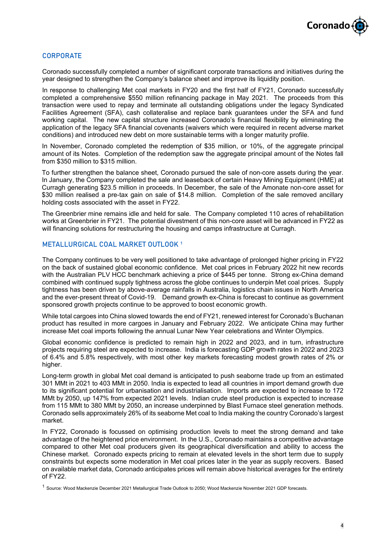

### **CORPORATE**

Coronado successfully completed a number of significant corporate transactions and initiatives during the year designed to strengthen the Company's balance sheet and improve its liquidity position.

In response to challenging Met coal markets in FY20 and the first half of FY21, Coronado successfully completed a comprehensive \$550 million refinancing package in May 2021. The proceeds from this transaction were used to repay and terminate all outstanding obligations under the legacy Syndicated Facilities Agreement (SFA), cash collateralise and replace bank guarantees under the SFA and fund working capital. The new capital structure increased Coronado's financial flexibility by eliminating the application of the legacy SFA financial covenants (waivers which were required in recent adverse market conditions) and introduced new debt on more sustainable terms with a longer maturity profile.

In November, Coronado completed the redemption of \$35 million, or 10%, of the aggregate principal amount of its Notes. Completion of the redemption saw the aggregate principal amount of the Notes fall from \$350 million to \$315 million.

To further strengthen the balance sheet, Coronado pursued the sale of non-core assets during the year. In January, the Company completed the sale and leaseback of certain Heavy Mining Equipment (HME) at Curragh generating \$23.5 million in proceeds. In December, the sale of the Amonate non-core asset for \$30 million realised a pre-tax gain on sale of \$14.8 million. Completion of the sale removed ancillary holding costs associated with the asset in FY22.

The Greenbrier mine remains idle and held for sale. The Company completed 110 acres of rehabilitation works at Greenbrier in FY21. The potential divestment of this non-core asset will be advanced in FY22 as will financing solutions for restructuring the housing and camps infrastructure at Curragh.

#### METALLURGICAL COAL MARKET OUTLOOK **<sup>1</sup>**

The Company continues to be very well positioned to take advantage of prolonged higher pricing in FY22 on the back of sustained global economic confidence. Met coal prices in February 2022 hit new records with the Australian PLV HCC benchmark achieving a price of \$445 per tonne. Strong ex-China demand combined with continued supply tightness across the globe continues to underpin Met coal prices. Supply tightness has been driven by above-average rainfalls in Australia, logistics chain issues in North America and the ever-present threat of Covid-19. Demand growth ex-China is forecast to continue as government sponsored growth projects continue to be approved to boost economic growth.

While total cargoes into China slowed towards the end of FY21, renewed interest for Coronado's Buchanan product has resulted in more cargoes in January and February 2022. We anticipate China may further increase Met coal imports following the annual Lunar New Year celebrations and Winter Olympics.

Global economic confidence is predicted to remain high in 2022 and 2023, and in turn, infrastructure projects requiring steel are expected to increase. India is forecasting GDP growth rates in 2022 and 2023 of 6.4% and 5.8% respectively, with most other key markets forecasting modest growth rates of 2% or higher.

Long-term growth in global Met coal demand is anticipated to push seaborne trade up from an estimated 301 MMt in 2021 to 403 MMt in 2050. India is expected to lead all countries in import demand growth due to its significant potential for urbanisation and industrialisation. Imports are expected to increase to 172 MMt by 2050, up 147% from expected 2021 levels. Indian crude steel production is expected to increase from 115 MMt to 380 MMt by 2050, an increase underpinned by Blast Furnace steel generation methods. Coronado sells approximately 26% of its seaborne Met coal to India making the country Coronado's largest market.

In FY22, Coronado is focussed on optimising production levels to meet the strong demand and take advantage of the heightened price environment. In the U.S., Coronado maintains a competitive advantage compared to other Met coal producers given its geographical diversification and ability to access the Chinese market. Coronado expects pricing to remain at elevated levels in the short term due to supply constraints but expects some moderation in Met coal prices later in the year as supply recovers. Based on available market data, Coronado anticipates prices will remain above historical averages for the entirety of FY22.

<sup>1</sup> Source: Wood Mackenzie December 2021 Metallurgical Trade Outlook to 2050; Wood Mackenzie November 2021 GDP forecasts.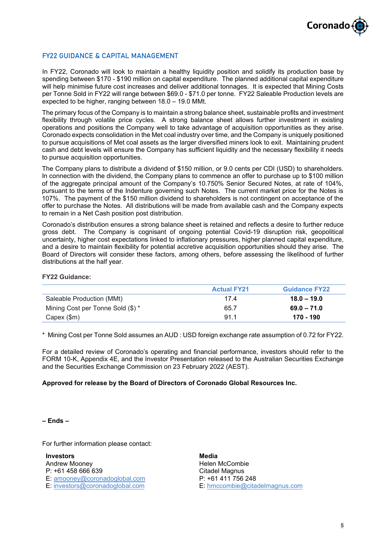

## FY22 GUIDANCE & CAPITAL MANAGEMENT

In FY22, Coronado will look to maintain a healthy liquidity position and solidify its production base by spending between \$170 - \$190 million on capital expenditure. The planned additional capital expenditure will help minimise future cost increases and deliver additional tonnages. It is expected that Mining Costs per Tonne Sold in FY22 will range between \$69.0 - \$71.0 per tonne. FY22 Saleable Production levels are expected to be higher, ranging between 18.0 – 19.0 MMt.

The primary focus of the Company is to maintain a strong balance sheet, sustainable profits and investment flexibility through volatile price cycles. A strong balance sheet allows further investment in existing operations and positions the Company well to take advantage of acquisition opportunities as they arise. Coronado expects consolidation in the Met coal industry over time, and the Company is uniquely positioned to pursue acquisitions of Met coal assets as the larger diversified miners look to exit. Maintaining prudent cash and debt levels will ensure the Company has sufficient liquidity and the necessary flexibility it needs to pursue acquisition opportunities.

The Company plans to distribute a dividend of \$150 million, or 9.0 cents per CDI (USD) to shareholders. In connection with the dividend, the Company plans to commence an offer to purchase up to \$100 million of the aggregate principal amount of the Company's 10.750% Senior Secured Notes, at rate of 104%, pursuant to the terms of the Indenture governing such Notes. The current market price for the Notes is 107%. The payment of the \$150 million dividend to shareholders is not contingent on acceptance of the offer to purchase the Notes. All distributions will be made from available cash and the Company expects to remain in a Net Cash position post distribution.

Coronado's distribution ensures a strong balance sheet is retained and reflects a desire to further reduce gross debt. The Company is cognisant of ongoing potential Covid-19 disruption risk, geopolitical uncertainty, higher cost expectations linked to inflationary pressures, higher planned capital expenditure, and a desire to maintain flexibility for potential accretive acquisition opportunities should they arise. The Board of Directors will consider these factors, among others, before assessing the likelihood of further distributions at the half year.

#### **FY22 Guidance:**

|                                   | <b>Actual FY21</b> | <b>Guidance FY22</b> |
|-----------------------------------|--------------------|----------------------|
| Saleable Production (MMt)         | 174                | $18.0 - 19.0$        |
| Mining Cost per Tonne Sold (\$) * | 65.7               | $69.0 - 71.0$        |
| $Capex$ (\$m)                     | 91.1               | 170 - 190            |

\* Mining Cost per Tonne Sold assumes an AUD : USD foreign exchange rate assumption of 0.72 for FY22.

For a detailed review of Coronado's operating and financial performance, investors should refer to the FORM 10-K, Appendix 4E, and the Investor Presentation released to the Australian Securities Exchange and the Securities Exchange Commission on 23 February 2022 (AEST).

#### **Approved for release by the Board of Directors of Coronado Global Resources Inc.**

#### **– Ends –**

For further information please contact:

**Investors** Andrew Mooney P: +61 458 666 639 E: [amooney@coronadoglobal.com](mailto:amooney@coronadoglobal.com) E: [investors@coronadoglobal.com](mailto:investors@coronadoglobal.com)

**Media** Helen McCombie Citadel Magnus P: +61 411 756 248 E: [hmccombie@citadelmagnus.com](mailto:hmccombie@citadelmagnus.com)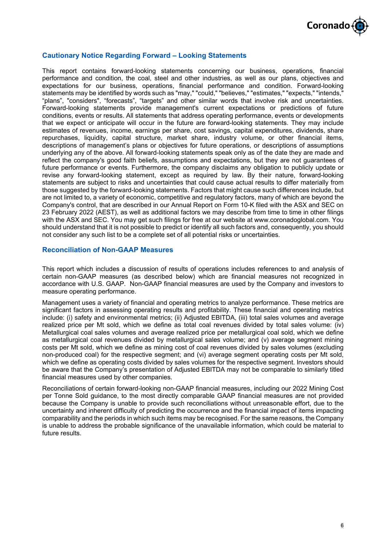

### **Cautionary Notice Regarding Forward – Looking Statements**

This report contains forward-looking statements concerning our business, operations, financial performance and condition, the coal, steel and other industries, as well as our plans, objectives and expectations for our business, operations, financial performance and condition. Forward-looking statements may be identified by words such as "may," "could," "believes," "estimates," "expects," "intends," "plans", "considers", "forecasts", "targets" and other similar words that involve risk and uncertainties. Forward-looking statements provide management's current expectations or predictions of future conditions, events or results. All statements that address operating performance, events or developments that we expect or anticipate will occur in the future are forward-looking statements. They may include estimates of revenues, income, earnings per share, cost savings, capital expenditures, dividends, share repurchases, liquidity, capital structure, market share, industry volume, or other financial items, descriptions of management's plans or objectives for future operations, or descriptions of assumptions underlying any of the above. All forward-looking statements speak only as of the date they are made and reflect the company's good faith beliefs, assumptions and expectations, but they are not guarantees of future performance or events. Furthermore, the company disclaims any obligation to publicly update or revise any forward-looking statement, except as required by law. By their nature, forward-looking statements are subject to risks and uncertainties that could cause actual results to differ materially from those suggested by the forward-looking statements. Factors that might cause such differences include, but are not limited to, a variety of economic, competitive and regulatory factors, many of which are beyond the Company's control, that are described in our Annual Report on Form 10-K filed with the ASX and SEC on 23 February 2022 (AEST), as well as additional factors we may describe from time to time in other filings with the ASX and SEC. You may get such filings for free at our website at www.coronadoglobal.com. You should understand that it is not possible to predict or identify all such factors and, consequently, you should not consider any such list to be a complete set of all potential risks or uncertainties.

## **Reconciliation of Non-GAAP Measures**

This report which includes a discussion of results of operations includes references to and analysis of certain non-GAAP measures (as described below) which are financial measures not recognized in accordance with U.S. GAAP. Non-GAAP financial measures are used by the Company and investors to measure operating performance.

Management uses a variety of financial and operating metrics to analyze performance. These metrics are significant factors in assessing operating results and profitability. These financial and operating metrics include: (i) safety and environmental metrics; (ii) Adjusted EBITDA, (iii) total sales volumes and average realized price per Mt sold, which we define as total coal revenues divided by total sales volume: (iv) Metallurgical coal sales volumes and average realized price per metallurgical coal sold, which we define as metallurgical coal revenues divided by metallurgical sales volume; and (v) average segment mining costs per Mt sold, which we define as mining cost of coal revenues divided by sales volumes (excluding non-produced coal) for the respective segment; and (vi) average segment operating costs per Mt sold, which we define as operating costs divided by sales volumes for the respective segment. Investors should be aware that the Company's presentation of Adjusted EBITDA may not be comparable to similarly titled financial measures used by other companies.

Reconciliations of certain forward-looking non-GAAP financial measures, including our 2022 Mining Cost per Tonne Sold guidance, to the most directly comparable GAAP financial measures are not provided because the Company is unable to provide such reconciliations without unreasonable effort, due to the uncertainty and inherent difficulty of predicting the occurrence and the financial impact of items impacting comparability and the periods in which such items may be recognised. For the same reasons, the Company is unable to address the probable significance of the unavailable information, which could be material to future results.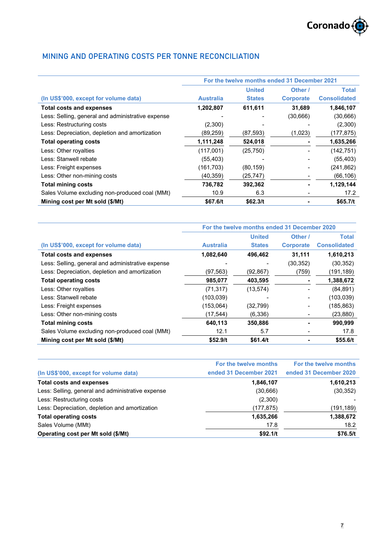

# MINING AND OPERATING COSTS PER TONNE RECONCILIATION

|                                                   | For the twelve months ended 31 December 2021 |               |                  |                     |
|---------------------------------------------------|----------------------------------------------|---------------|------------------|---------------------|
|                                                   |                                              | <b>United</b> | Other /          | <b>Total</b>        |
| (In US\$'000, except for volume data)             | <b>Australia</b>                             | <b>States</b> | <b>Corporate</b> | <b>Consolidated</b> |
| <b>Total costs and expenses</b>                   | 1,202,807                                    | 611,611       | 31,689           | 1,846,107           |
| Less: Selling, general and administrative expense |                                              |               | (30,666)         | (30, 666)           |
| Less: Restructuring costs                         | (2,300)                                      |               |                  | (2,300)             |
| Less: Depreciation, depletion and amortization    | (89,259)                                     | (87, 593)     | (1,023)          | (177,875)           |
| <b>Total operating costs</b>                      | 1,111,248                                    | 524,018       |                  | 1,635,266           |
| Less: Other royalties                             | (117,001)                                    | (25, 750)     |                  | (142, 751)          |
| Less: Stanwell rebate                             | (55, 403)                                    |               |                  | (55, 403)           |
| Less: Freight expenses                            | (161, 703)                                   | (80, 159)     |                  | (241, 862)          |
| Less: Other non-mining costs                      | (40, 359)                                    | (25, 747)     |                  | (66, 106)           |
| <b>Total mining costs</b>                         | 736,782                                      | 392,362       |                  | 1,129,144           |
| Sales Volume excluding non-produced coal (MMt)    | 10.9                                         | 6.3           |                  | 17.2                |
| Mining cost per Mt sold (\$/Mt)                   | \$67.6/t                                     | \$62.3/t      |                  | \$65.7/t            |

|                                                   | For the twelve months ended 31 December 2020 |               |                  |                     |
|---------------------------------------------------|----------------------------------------------|---------------|------------------|---------------------|
|                                                   |                                              | <b>United</b> | Other /          | Total               |
| (In US\$'000, except for volume data)             | <b>Australia</b>                             | <b>States</b> | <b>Corporate</b> | <b>Consolidated</b> |
| <b>Total costs and expenses</b>                   | 1,082,640                                    | 496,462       | 31,111           | 1,610,213           |
| Less: Selling, general and administrative expense |                                              |               | (30, 352)        | (30, 352)           |
| Less: Depreciation, depletion and amortization    | (97,563)                                     | (92, 867)     | (759)            | (191,189)           |
| <b>Total operating costs</b>                      | 985,077                                      | 403,595       |                  | 1,388,672           |
| Less: Other royalties                             | (71, 317)                                    | (13, 574)     |                  | (84, 891)           |
| Less: Stanwell rebate                             | (103,039)                                    |               |                  | (103, 039)          |
| Less: Freight expenses                            | (153,064)                                    | (32, 799)     |                  | (185, 863)          |
| Less: Other non-mining costs                      | (17, 544)                                    | (6,336)       |                  | (23, 880)           |
| <b>Total mining costs</b>                         | 640,113                                      | 350,886       |                  | 990,999             |
| Sales Volume excluding non-produced coal (MMt)    | 12.1                                         | 5.7           |                  | 17.8                |
| Mining cost per Mt sold (\$/Mt)                   | \$52.9/t                                     | \$61.4/t      |                  | \$55.6/t            |

|                                                   | For the twelve months  | For the twelve months  |
|---------------------------------------------------|------------------------|------------------------|
| (In US\$'000, except for volume data)             | ended 31 December 2021 | ended 31 December 2020 |
| <b>Total costs and expenses</b>                   | 1,846,107              | 1,610,213              |
| Less: Selling, general and administrative expense | (30, 666)              | (30, 352)              |
| Less: Restructuring costs                         | (2,300)                |                        |
| Less: Depreciation, depletion and amortization    | (177,875)              | (191,189)              |
| <b>Total operating costs</b>                      | 1,635,266              | 1,388,672              |
| Sales Volume (MMt)                                | 17.8                   | 18.2                   |
| Operating cost per Mt sold (\$/Mt)                | \$92.1/t               | \$76.5/t               |